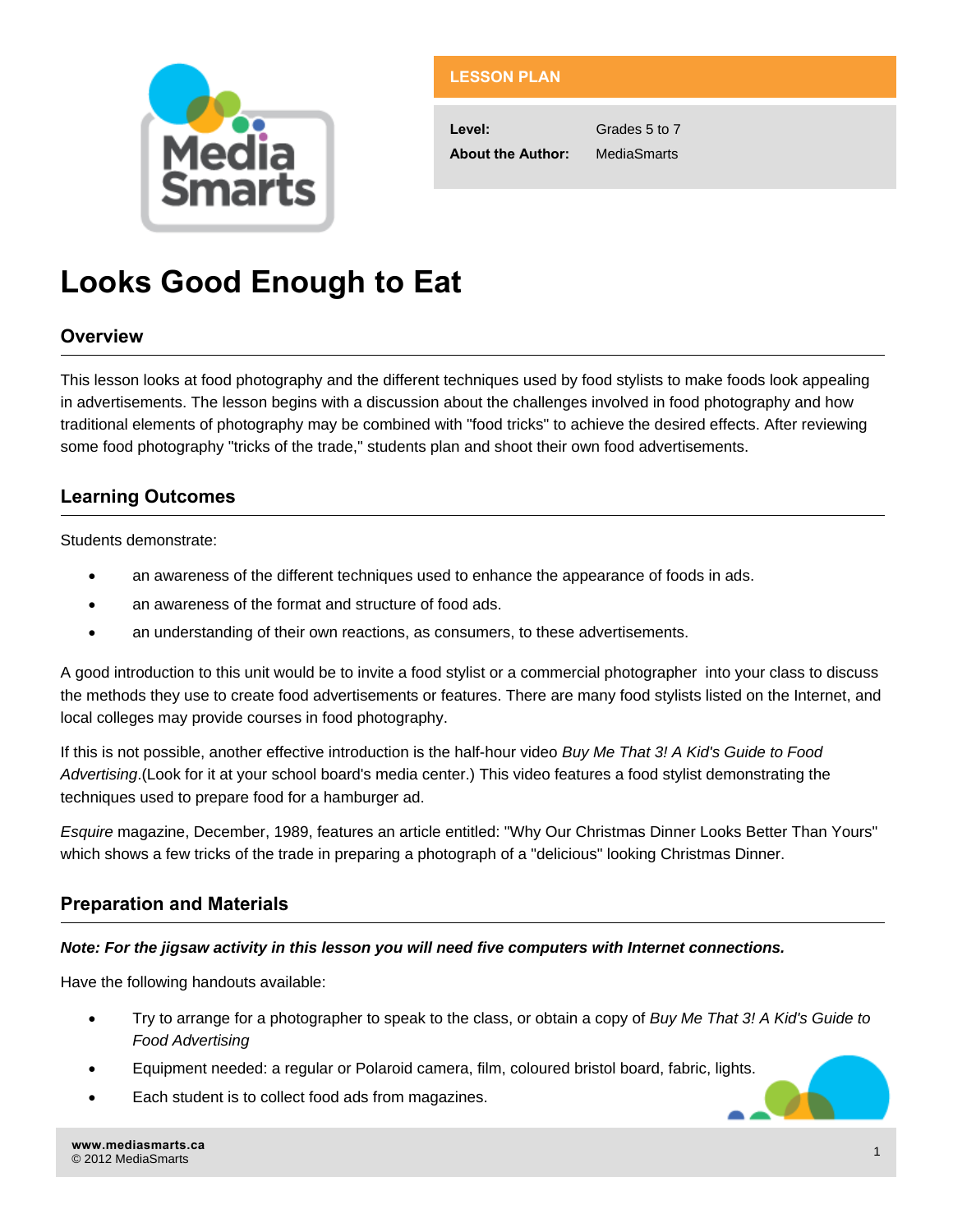

## **LESSON PLAN**

**Level:** Grades 5 to 7 **About the Author:** MediaSmarts

# **Looks Good Enough to Eat**

## **Overview**

This lesson looks at food photography and the different techniques used by food stylists to make foods look appealing in advertisements. The lesson begins with a discussion about the challenges involved in food photography and how traditional elements of photography may be combined with "food tricks" to achieve the desired effects. After reviewing some food photography "tricks of the trade," students plan and shoot their own food advertisements.

## **Learning Outcomes**

Students demonstrate:

- an awareness of the different techniques used to enhance the appearance of foods in ads.
- an awareness of the format and structure of food ads.
- an understanding of their own reactions, as consumers, to these advertisements.

A good introduction to this unit would be to invite a food stylist or a commercial photographer into your class to discuss the methods they use to create food advertisements or features. There are many food stylists listed on the Internet, and local colleges may provide courses in food photography.

If this is not possible, another effective introduction is the half-hour video *Buy Me That 3! A Kid's Guide to Food Advertising*.(Look for it at your school board's media center.) This video features a food stylist demonstrating the techniques used to prepare food for a hamburger ad.

*Esquire* magazine, December, 1989, features an article entitled: "Why Our Christmas Dinner Looks Better Than Yours" which shows a few tricks of the trade in preparing a photograph of a "delicious" looking Christmas Dinner.

## **Preparation and Materials**

#### *Note: For the jigsaw activity in this lesson you will need five computers with Internet connections.*

Have the following handouts available:

- Try to arrange for a photographer to speak to the class, or obtain a copy of *Buy Me That 3! A Kid's Guide to Food Advertising*
- Equipment needed: a regular or Polaroid camera, film, coloured bristol board, fabric, lights.
- Each student is to collect food ads from magazines.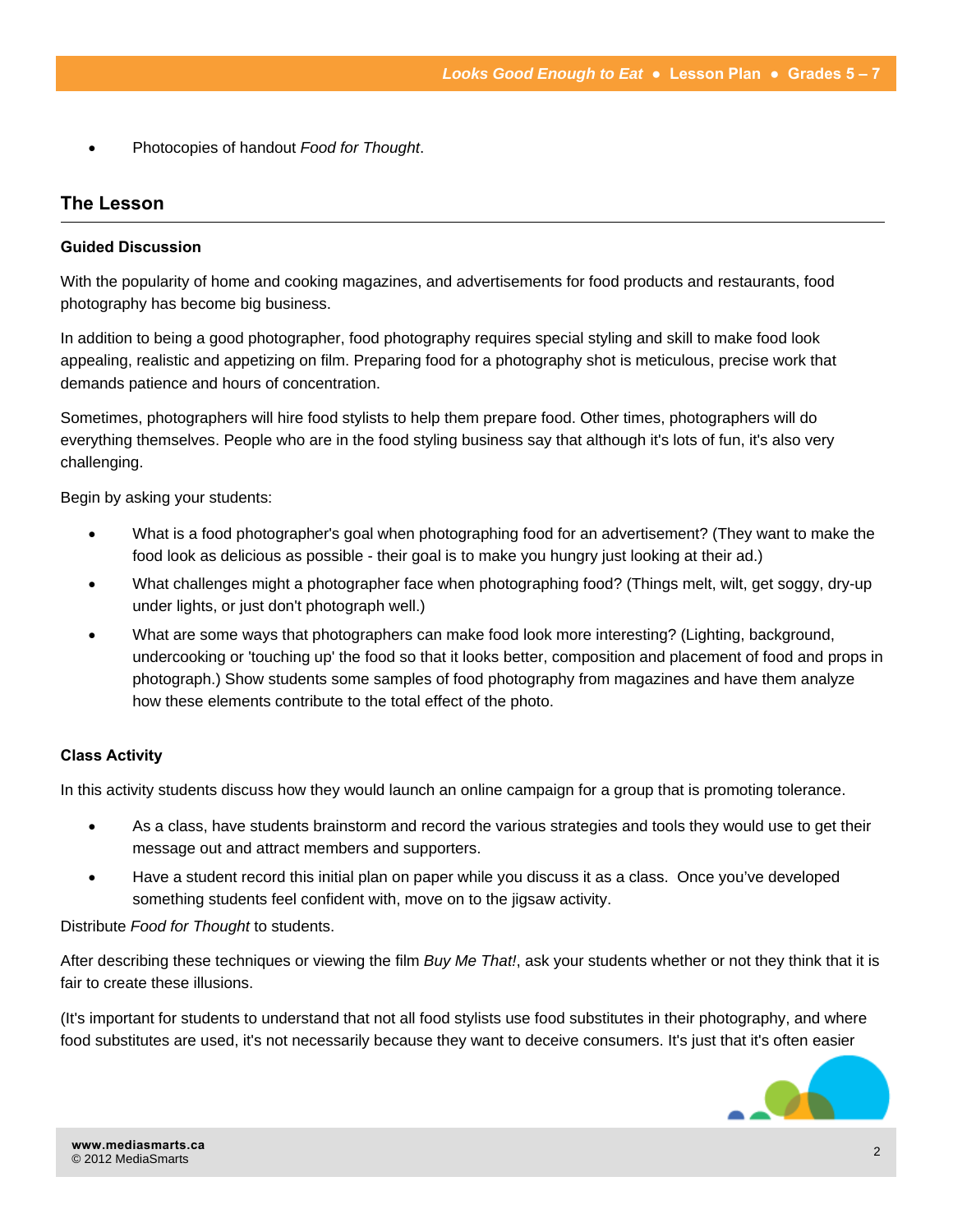• Photocopies of handout *Food for Thought*.

## **The Lesson**

#### **Guided Discussion**

With the popularity of home and cooking magazines, and advertisements for food products and restaurants, food photography has become big business.

In addition to being a good photographer, food photography requires special styling and skill to make food look appealing, realistic and appetizing on film. Preparing food for a photography shot is meticulous, precise work that demands patience and hours of concentration.

Sometimes, photographers will hire food stylists to help them prepare food. Other times, photographers will do everything themselves. People who are in the food styling business say that although it's lots of fun, it's also very challenging.

Begin by asking your students:

- What is a food photographer's goal when photographing food for an advertisement? (They want to make the food look as delicious as possible - their goal is to make you hungry just looking at their ad.)
- What challenges might a photographer face when photographing food? (Things melt, wilt, get soggy, dry-up under lights, or just don't photograph well.)
- What are some ways that photographers can make food look more interesting? (Lighting, background, undercooking or 'touching up' the food so that it looks better, composition and placement of food and props in photograph.) Show students some samples of food photography from magazines and have them analyze how these elements contribute to the total effect of the photo.

#### **Class Activity**

In this activity students discuss how they would launch an online campaign for a group that is promoting tolerance.

- As a class, have students brainstorm and record the various strategies and tools they would use to get their message out and attract members and supporters.
- Have a student record this initial plan on paper while you discuss it as a class. Once you've developed something students feel confident with, move on to the jigsaw activity.

Distribute *Food for Thought* to students.

After describing these techniques or viewing the film *Buy Me That!*, ask your students whether or not they think that it is fair to create these illusions.

(It's important for students to understand that not all food stylists use food substitutes in their photography, and where food substitutes are used, it's not necessarily because they want to deceive consumers. It's just that it's often easier

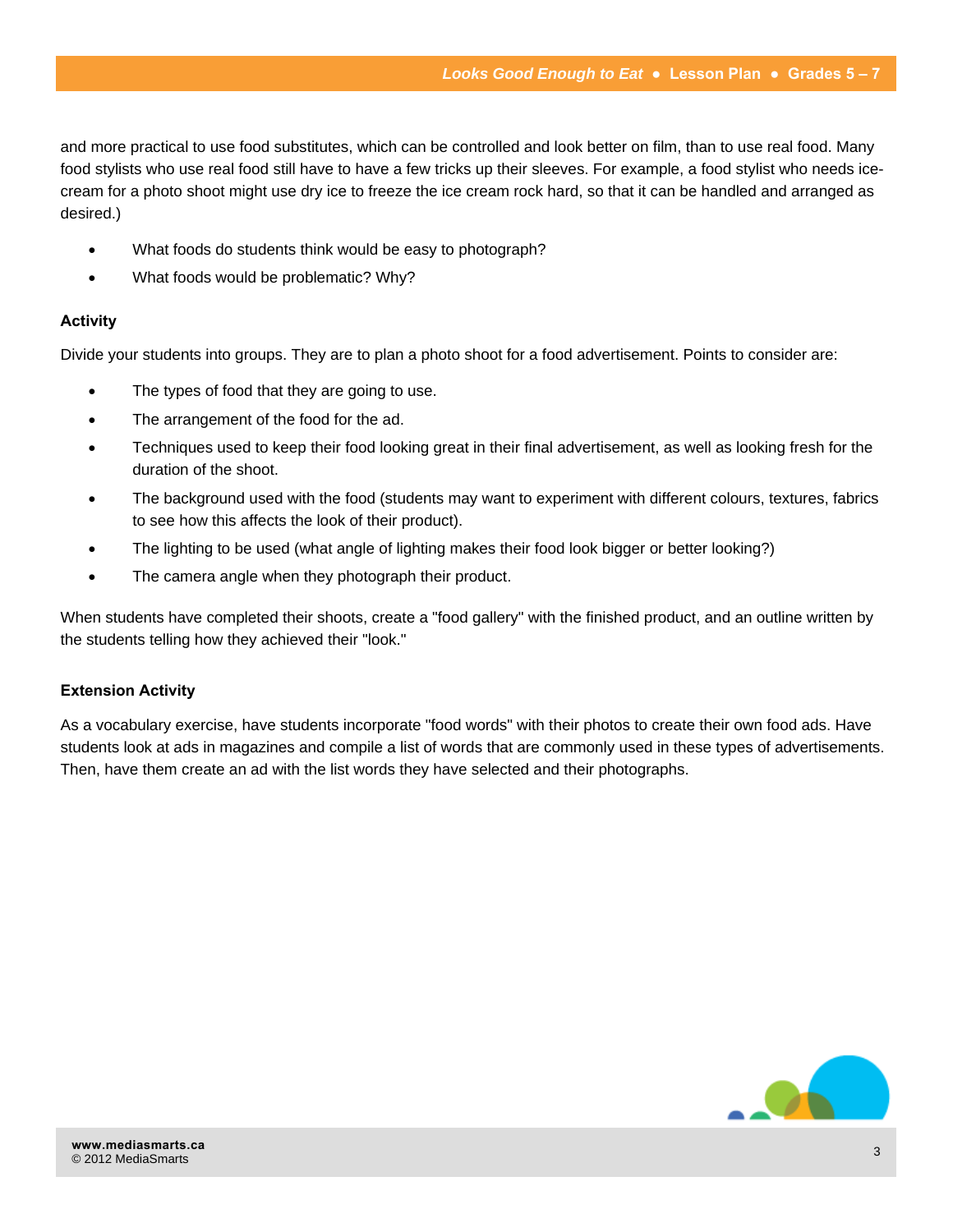and more practical to use food substitutes, which can be controlled and look better on film, than to use real food. Many food stylists who use real food still have to have a few tricks up their sleeves. For example, a food stylist who needs icecream for a photo shoot might use dry ice to freeze the ice cream rock hard, so that it can be handled and arranged as desired.)

- What foods do students think would be easy to photograph?
- What foods would be problematic? Why?

#### **Activity**

Divide your students into groups. They are to plan a photo shoot for a food advertisement. Points to consider are:

- The types of food that they are going to use.
- The arrangement of the food for the ad.
- Techniques used to keep their food looking great in their final advertisement, as well as looking fresh for the duration of the shoot.
- The background used with the food (students may want to experiment with different colours, textures, fabrics to see how this affects the look of their product).
- The lighting to be used (what angle of lighting makes their food look bigger or better looking?)
- The camera angle when they photograph their product.

When students have completed their shoots, create a "food gallery" with the finished product, and an outline written by the students telling how they achieved their "look."

## **Extension Activity**

As a vocabulary exercise, have students incorporate "food words" with their photos to create their own food ads. Have students look at ads in magazines and compile a list of words that are commonly used in these types of advertisements. Then, have them create an ad with the list words they have selected and their photographs.

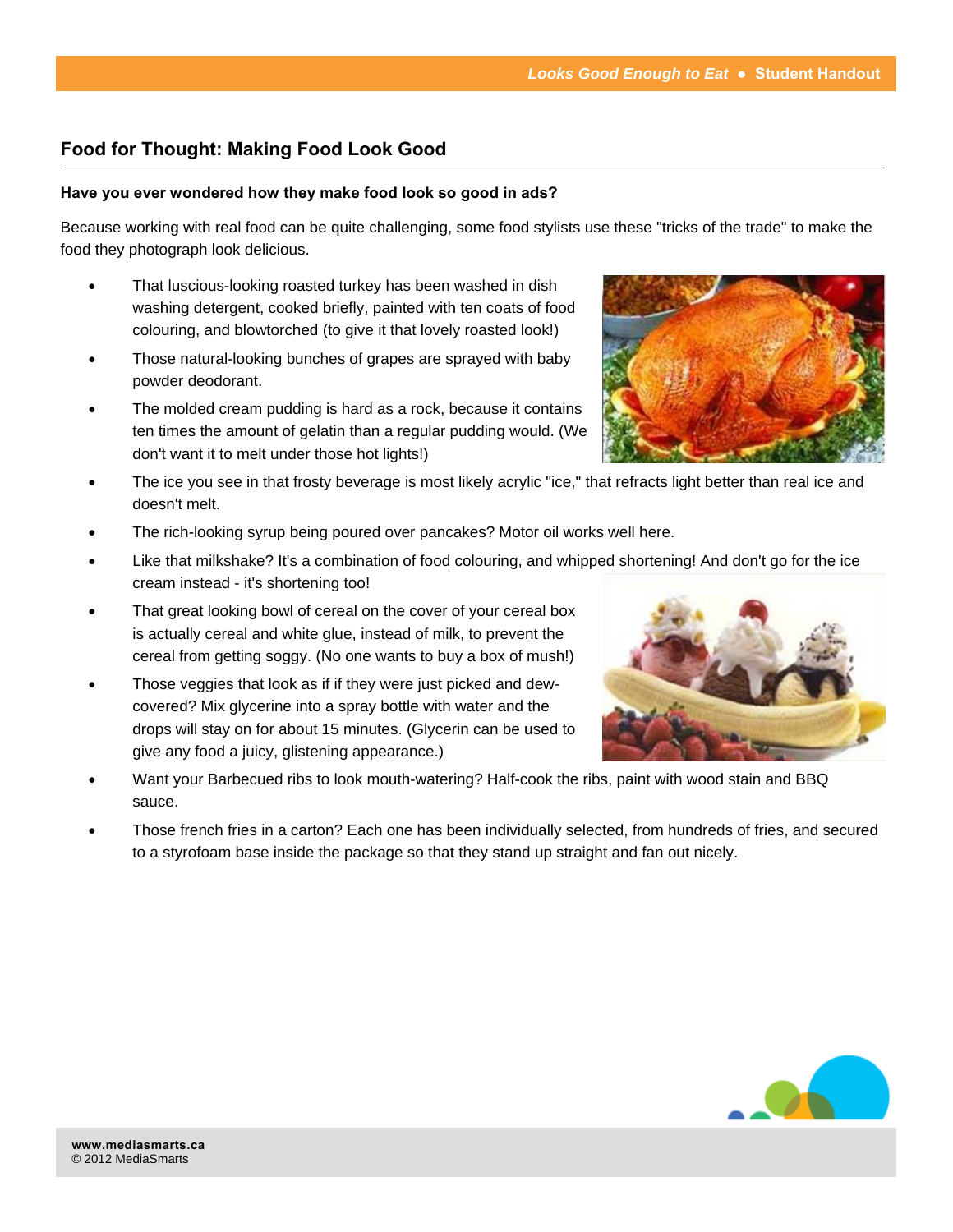## **Food for Thought: Making Food Look Good**

## **Have you ever wondered how they make food look so good in ads?**

Because working with real food can be quite challenging, some food stylists use these "tricks of the trade" to make the food they photograph look delicious.

- That luscious-looking roasted turkey has been washed in dish washing detergent, cooked briefly, painted with ten coats of food colouring, and blowtorched (to give it that lovely roasted look!)
- Those natural-looking bunches of grapes are sprayed with baby powder deodorant.
- The molded cream pudding is hard as a rock, because it contains ten times the amount of gelatin than a regular pudding would. (We don't want it to melt under those hot lights!)
- The ice you see in that frosty beverage is most likely acrylic "ice," that refracts light better than real ice and doesn't melt.
- The rich-looking syrup being poured over pancakes? Motor oil works well here.
- Like that milkshake? It's a combination of food colouring, and whipped shortening! And don't go for the ice cream instead - it's shortening too!
- That great looking bowl of cereal on the cover of your cereal box is actually cereal and white glue, instead of milk, to prevent the cereal from getting soggy. (No one wants to buy a box of mush!)
- Those veggies that look as if if they were just picked and dewcovered? Mix glycerine into a spray bottle with water and the drops will stay on for about 15 minutes. (Glycerin can be used to give any food a juicy, glistening appearance.)
- Want your Barbecued ribs to look mouth-watering? Half-cook the ribs, paint with wood stain and BBQ sauce.
- Those french fries in a carton? Each one has been individually selected, from hundreds of fries, and secured to a styrofoam base inside the package so that they stand up straight and fan out nicely.